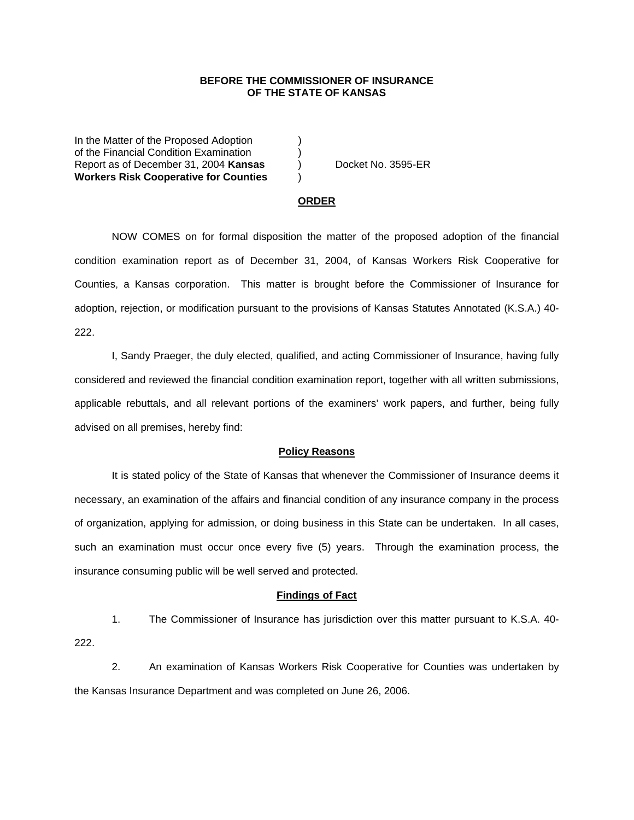## **BEFORE THE COMMISSIONER OF INSURANCE OF THE STATE OF KANSAS**

In the Matter of the Proposed Adoption of the Financial Condition Examination ) Report as of December 31, 2004 **Kansas** ) Docket No. 3595-ER **Workers Risk Cooperative for Counties** )

#### **ORDER**

 NOW COMES on for formal disposition the matter of the proposed adoption of the financial condition examination report as of December 31, 2004, of Kansas Workers Risk Cooperative for Counties, a Kansas corporation. This matter is brought before the Commissioner of Insurance for adoption, rejection, or modification pursuant to the provisions of Kansas Statutes Annotated (K.S.A.) 40- 222.

 I, Sandy Praeger, the duly elected, qualified, and acting Commissioner of Insurance, having fully considered and reviewed the financial condition examination report, together with all written submissions, applicable rebuttals, and all relevant portions of the examiners' work papers, and further, being fully advised on all premises, hereby find:

## **Policy Reasons**

 It is stated policy of the State of Kansas that whenever the Commissioner of Insurance deems it necessary, an examination of the affairs and financial condition of any insurance company in the process of organization, applying for admission, or doing business in this State can be undertaken. In all cases, such an examination must occur once every five (5) years. Through the examination process, the insurance consuming public will be well served and protected.

### **Findings of Fact**

 1. The Commissioner of Insurance has jurisdiction over this matter pursuant to K.S.A. 40- 222.

 2. An examination of Kansas Workers Risk Cooperative for Counties was undertaken by the Kansas Insurance Department and was completed on June 26, 2006.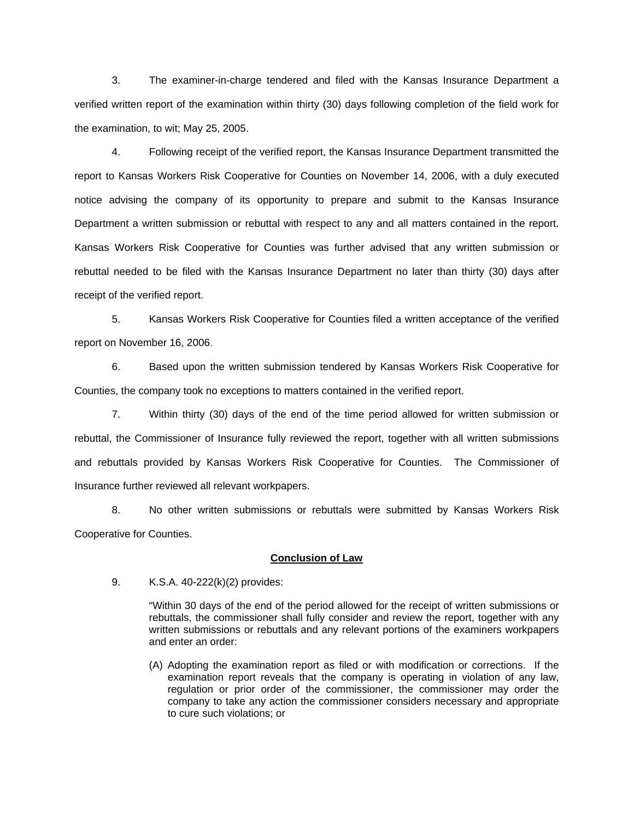3. The examiner-in-charge tendered and filed with the Kansas Insurance Department a verified written report of the examination within thirty (30) days following completion of the field work for the examination, to wit; May 25, 2005.

 4. Following receipt of the verified report, the Kansas Insurance Department transmitted the report to Kansas Workers Risk Cooperative for Counties on November 14, 2006, with a duly executed notice advising the company of its opportunity to prepare and submit to the Kansas Insurance Department a written submission or rebuttal with respect to any and all matters contained in the report. Kansas Workers Risk Cooperative for Counties was further advised that any written submission or rebuttal needed to be filed with the Kansas Insurance Department no later than thirty (30) days after receipt of the verified report.

 5. Kansas Workers Risk Cooperative for Counties filed a written acceptance of the verified report on November 16, 2006.

6. Based upon the written submission tendered by Kansas Workers Risk Cooperative for Counties, the company took no exceptions to matters contained in the verified report.

 7. Within thirty (30) days of the end of the time period allowed for written submission or rebuttal, the Commissioner of Insurance fully reviewed the report, together with all written submissions and rebuttals provided by Kansas Workers Risk Cooperative for Counties. The Commissioner of Insurance further reviewed all relevant workpapers.

 8. No other written submissions or rebuttals were submitted by Kansas Workers Risk Cooperative for Counties.

## **Conclusion of Law**

9. K.S.A. 40-222(k)(2) provides:

"Within 30 days of the end of the period allowed for the receipt of written submissions or rebuttals, the commissioner shall fully consider and review the report, together with any written submissions or rebuttals and any relevant portions of the examiners workpapers and enter an order:

(A) Adopting the examination report as filed or with modification or corrections. If the examination report reveals that the company is operating in violation of any law, regulation or prior order of the commissioner, the commissioner may order the company to take any action the commissioner considers necessary and appropriate to cure such violations; or